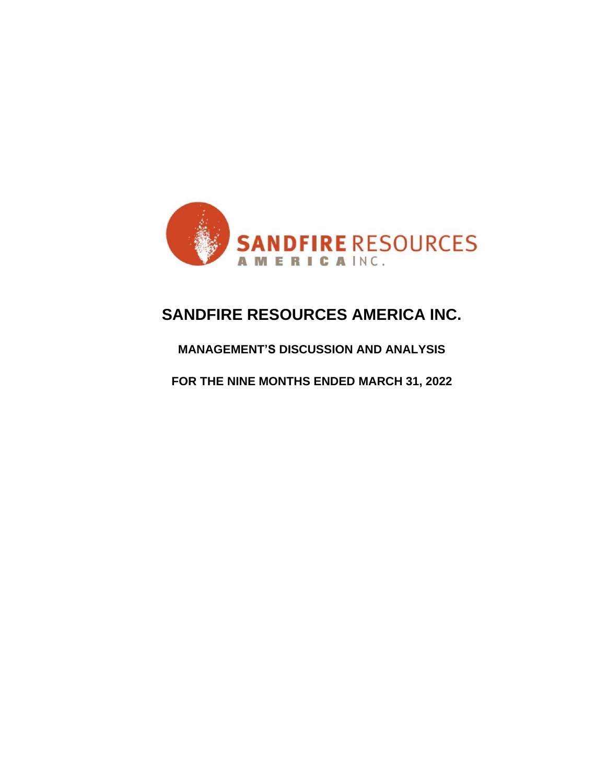

# **SANDFIRE RESOURCES AMERICA INC.**

# **MANAGEMENT'S DISCUSSION AND ANALYSIS**

**FOR THE NINE MONTHS ENDED MARCH 31, 2022**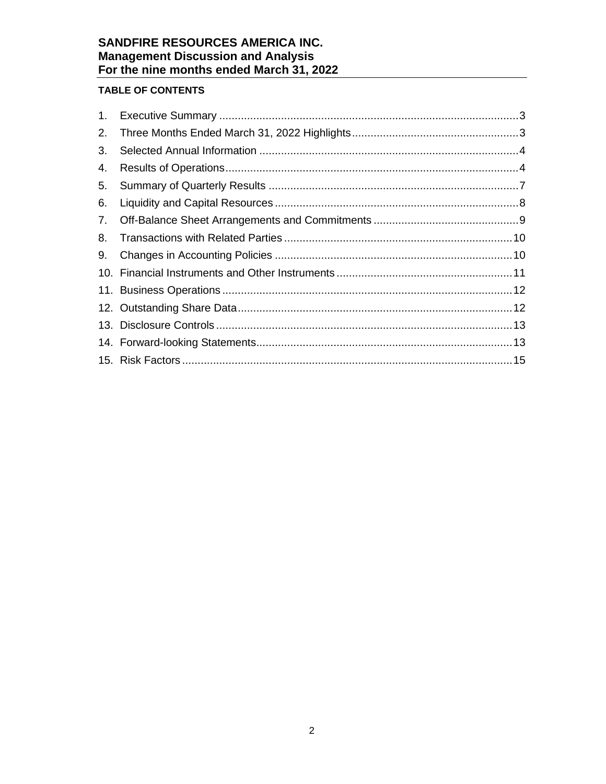# **TABLE OF CONTENTS**

| 2. |  |
|----|--|
| 3. |  |
| 4. |  |
| 5. |  |
| 6. |  |
| 7. |  |
| 8. |  |
| 9. |  |
|    |  |
|    |  |
|    |  |
|    |  |
|    |  |
|    |  |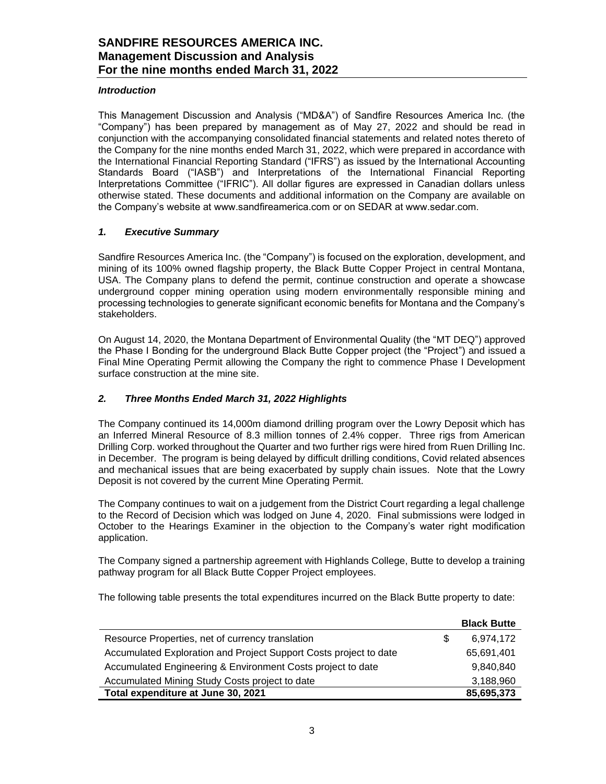## *Introduction*

This Management Discussion and Analysis ("MD&A") of Sandfire Resources America Inc. (the "Company") has been prepared by management as of May 27, 2022 and should be read in conjunction with the accompanying consolidated financial statements and related notes thereto of the Company for the nine months ended March 31, 2022, which were prepared in accordance with the International Financial Reporting Standard ("IFRS") as issued by the International Accounting Standards Board ("IASB") and Interpretations of the International Financial Reporting Interpretations Committee ("IFRIC"). All dollar figures are expressed in Canadian dollars unless otherwise stated. These documents and additional information on the Company are available on the Company's website at www.sandfireamerica.com or on SEDAR at www.sedar.com.

### <span id="page-2-0"></span>*1. Executive Summary*

Sandfire Resources America Inc. (the "Company") is focused on the exploration, development, and mining of its 100% owned flagship property, the Black Butte Copper Project in central Montana, USA. The Company plans to defend the permit, continue construction and operate a showcase underground copper mining operation using modern environmentally responsible mining and processing technologies to generate significant economic benefits for Montana and the Company's stakeholders.

On August 14, 2020, the Montana Department of Environmental Quality (the "MT DEQ") approved the Phase I Bonding for the underground Black Butte Copper project (the "Project") and issued a Final Mine Operating Permit allowing the Company the right to commence Phase I Development surface construction at the mine site.

# <span id="page-2-1"></span>*2. Three Months Ended March 31, 2022 Highlights*

The Company continued its 14,000m diamond drilling program over the Lowry Deposit which has an Inferred Mineral Resource of 8.3 million tonnes of 2.4% copper. Three rigs from American Drilling Corp. worked throughout the Quarter and two further rigs were hired from Ruen Drilling Inc. in December. The program is being delayed by difficult drilling conditions, Covid related absences and mechanical issues that are being exacerbated by supply chain issues. Note that the Lowry Deposit is not covered by the current Mine Operating Permit.

The Company continues to wait on a judgement from the District Court regarding a legal challenge to the Record of Decision which was lodged on June 4, 2020. Final submissions were lodged in October to the Hearings Examiner in the objection to the Company's water right modification application.

The Company signed a partnership agreement with Highlands College, Butte to develop a training pathway program for all Black Butte Copper Project employees.

The following table presents the total expenditures incurred on the Black Butte property to date:

|                                                                   | <b>Black Butte</b> |
|-------------------------------------------------------------------|--------------------|
| Resource Properties, net of currency translation                  | 6.974.172          |
| Accumulated Exploration and Project Support Costs project to date | 65,691,401         |
| Accumulated Engineering & Environment Costs project to date       | 9,840,840          |
| Accumulated Mining Study Costs project to date                    | 3,188,960          |
| Total expenditure at June 30, 2021                                | 85,695,373         |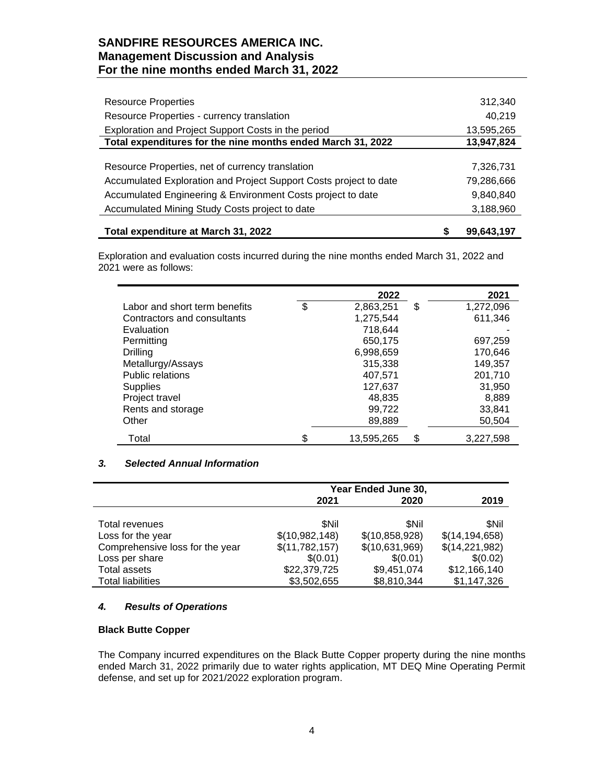| <b>Resource Properties</b>                                        | 312,340    |
|-------------------------------------------------------------------|------------|
| Resource Properties - currency translation                        | 40,219     |
| Exploration and Project Support Costs in the period               | 13,595,265 |
| Total expenditures for the nine months ended March 31, 2022       | 13,947,824 |
|                                                                   |            |
| Resource Properties, net of currency translation                  | 7,326,731  |
| Accumulated Exploration and Project Support Costs project to date | 79,286,666 |
| Accumulated Engineering & Environment Costs project to date       | 9,840,840  |
| Accumulated Mining Study Costs project to date                    | 3,188,960  |
|                                                                   |            |
| Total expenditure at March 31, 2022                               | 99,643,197 |

Exploration and evaluation costs incurred during the nine months ended March 31, 2022 and 2021 were as follows:

|                               | 2022            | 2021            |
|-------------------------------|-----------------|-----------------|
| Labor and short term benefits | \$<br>2,863,251 | \$<br>1,272,096 |
| Contractors and consultants   | 1,275,544       | 611,346         |
| Evaluation                    | 718,644         |                 |
| Permitting                    | 650,175         | 697,259         |
| <b>Drilling</b>               | 6,998,659       | 170,646         |
| Metallurgy/Assays             | 315,338         | 149,357         |
| <b>Public relations</b>       | 407,571         | 201,710         |
| <b>Supplies</b>               | 127,637         | 31,950          |
| Project travel                | 48,835          | 8,889           |
| Rents and storage             | 99,722          | 33,841          |
| Other                         | 89,889          | 50,504          |
| Total                         | 13,595,265      | \$<br>3,227,598 |

## <span id="page-3-0"></span>*3. Selected Annual Information*

|                                 | Year Ended June 30, |                |                  |  |
|---------------------------------|---------------------|----------------|------------------|--|
|                                 | 2021                | 2020           |                  |  |
|                                 |                     |                |                  |  |
| Total revenues                  | <b>SNil</b>         | <b>SNil</b>    | <b>SNil</b>      |  |
| Loss for the year               | \$(10,982,148)      | \$(10,858,928) | \$(14, 194, 658) |  |
| Comprehensive loss for the year | \$(11,782,157)      | \$(10,631,969) | \$(14,221,982)   |  |
| Loss per share                  | \$(0.01)            | \$(0.01)       | \$(0.02)         |  |
| Total assets                    | \$22,379,725        | \$9,451,074    | \$12,166,140     |  |
| <b>Total liabilities</b>        | \$3,502,655         | \$8,810,344    | \$1,147,326      |  |

# <span id="page-3-1"></span>*4. Results of Operations*

### **Black Butte Copper**

The Company incurred expenditures on the Black Butte Copper property during the nine months ended March 31, 2022 primarily due to water rights application, MT DEQ Mine Operating Permit defense, and set up for 2021/2022 exploration program.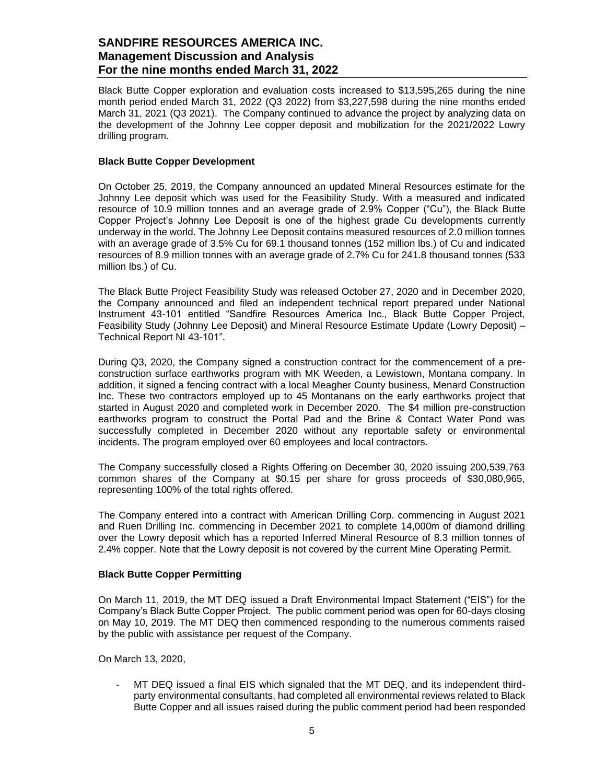Black Butte Copper exploration and evaluation costs increased to \$13,595,265 during the nine month period ended March 31, 2022 (Q3 2022) from \$3,227,598 during the nine months ended March 31, 2021 (Q3 2021). The Company continued to advance the project by analyzing data on the development of the Johnny Lee copper deposit and mobilization for the 2021/2022 Lowry drilling program.

### **Black Butte Copper Development**

On October 25, 2019, the Company announced an updated Mineral Resources estimate for the Johnny Lee deposit which was used for the Feasibility Study. With a measured and indicated resource of 10.9 million tonnes and an average grade of 2.9% Copper ("Cu"), the Black Butte Copper Project's Johnny Lee Deposit is one of the highest grade Cu developments currently underway in the world. The Johnny Lee Deposit contains measured resources of 2.0 million tonnes with an average grade of 3.5% Cu for 69.1 thousand tonnes (152 million lbs.) of Cu and indicated resources of 8.9 million tonnes with an average grade of 2.7% Cu for 241.8 thousand tonnes (533 million lbs.) of Cu.

The Black Butte Project Feasibility Study was released October 27, 2020 and in December 2020, the Company announced and filed an independent technical report prepared under National Instrument 43-101 entitled "Sandfire Resources America Inc., Black Butte Copper Project, Feasibility Study (Johnny Lee Deposit) and Mineral Resource Estimate Update (Lowry Deposit) – Technical Report NI 43-101".

During Q3, 2020, the Company signed a construction contract for the commencement of a preconstruction surface earthworks program with MK Weeden, a Lewistown, Montana company. In addition, it signed a fencing contract with a local Meagher County business, Menard Construction Inc. These two contractors employed up to 45 Montanans on the early earthworks project that started in August 2020 and completed work in December 2020. The \$4 million pre-construction earthworks program to construct the Portal Pad and the Brine & Contact Water Pond was successfully completed in December 2020 without any reportable safety or environmental incidents. The program employed over 60 employees and local contractors.

The Company successfully closed a Rights Offering on December 30, 2020 issuing 200,539,763 common shares of the Company at \$0.15 per share for gross proceeds of \$30,080,965, representing 100% of the total rights offered.

The Company entered into a contract with American Drilling Corp. commencing in August 2021 and Ruen Drilling Inc. commencing in December 2021 to complete 14,000m of diamond drilling over the Lowry deposit which has a reported Inferred Mineral Resource of 8.3 million tonnes of 2.4% copper. Note that the Lowry deposit is not covered by the current Mine Operating Permit.

### **Black Butte Copper Permitting**

On March 11, 2019, the MT DEQ issued a Draft Environmental Impact Statement ("EIS") for the Company's Black Butte Copper Project. The public comment period was open for 60-days closing on May 10, 2019. The MT DEQ then commenced responding to the numerous comments raised by the public with assistance per request of the Company.

On March 13, 2020,

MT DEQ issued a final EIS which signaled that the MT DEQ, and its independent thirdparty environmental consultants, had completed all environmental reviews related to Black Butte Copper and all issues raised during the public comment period had been responded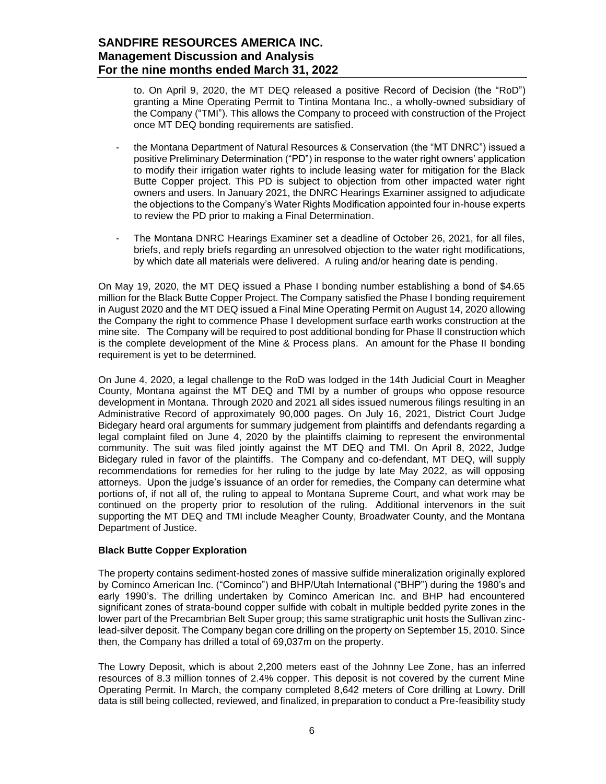to. On April 9, 2020, the MT DEQ released a positive Record of Decision (the "RoD") granting a Mine Operating Permit to Tintina Montana Inc., a wholly-owned subsidiary of the Company ("TMI"). This allows the Company to proceed with construction of the Project once MT DEQ bonding requirements are satisfied.

- the Montana Department of Natural Resources & Conservation (the "MT DNRC") issued a positive Preliminary Determination ("PD") in response to the water right owners' application to modify their irrigation water rights to include leasing water for mitigation for the Black Butte Copper project. This PD is subject to objection from other impacted water right owners and users. In January 2021, the DNRC Hearings Examiner assigned to adjudicate the objections to the Company's Water Rights Modification appointed four in-house experts to review the PD prior to making a Final Determination.
- The Montana DNRC Hearings Examiner set a deadline of October 26, 2021, for all files, briefs, and reply briefs regarding an unresolved objection to the water right modifications, by which date all materials were delivered. A ruling and/or hearing date is pending.

On May 19, 2020, the MT DEQ issued a Phase I bonding number establishing a bond of \$4.65 million for the Black Butte Copper Project. The Company satisfied the Phase I bonding requirement in August 2020 and the MT DEQ issued a Final Mine Operating Permit on August 14, 2020 allowing the Company the right to commence Phase I development surface earth works construction at the mine site. The Company will be required to post additional bonding for Phase II construction which is the complete development of the Mine & Process plans. An amount for the Phase II bonding requirement is yet to be determined.

On June 4, 2020, a legal challenge to the RoD was lodged in the 14th Judicial Court in Meagher County, Montana against the MT DEQ and TMI by a number of groups who oppose resource development in Montana. Through 2020 and 2021 all sides issued numerous filings resulting in an Administrative Record of approximately 90,000 pages. On July 16, 2021, District Court Judge Bidegary heard oral arguments for summary judgement from plaintiffs and defendants regarding a legal complaint filed on June 4, 2020 by the plaintiffs claiming to represent the environmental community. The suit was filed jointly against the MT DEQ and TMI. On April 8, 2022, Judge Bidegary ruled in favor of the plaintiffs. The Company and co-defendant, MT DEQ, will supply recommendations for remedies for her ruling to the judge by late May 2022, as will opposing attorneys. Upon the judge's issuance of an order for remedies, the Company can determine what portions of, if not all of, the ruling to appeal to Montana Supreme Court, and what work may be continued on the property prior to resolution of the ruling. Additional intervenors in the suit supporting the MT DEQ and TMI include Meagher County, Broadwater County, and the Montana Department of Justice.

# **Black Butte Copper Exploration**

The property contains sediment-hosted zones of massive sulfide mineralization originally explored by Cominco American Inc. ("Cominco") and BHP/Utah International ("BHP") during the 1980's and early 1990's. The drilling undertaken by Cominco American Inc. and BHP had encountered significant zones of strata-bound copper sulfide with cobalt in multiple bedded pyrite zones in the lower part of the Precambrian Belt Super group; this same stratigraphic unit hosts the Sullivan zinclead-silver deposit. The Company began core drilling on the property on September 15, 2010. Since then, the Company has drilled a total of 69,037m on the property.

The Lowry Deposit, which is about 2,200 meters east of the Johnny Lee Zone, has an inferred resources of 8.3 million tonnes of 2.4% copper. This deposit is not covered by the current Mine Operating Permit. In March, the company completed 8,642 meters of Core drilling at Lowry. Drill data is still being collected, reviewed, and finalized, in preparation to conduct a Pre-feasibility study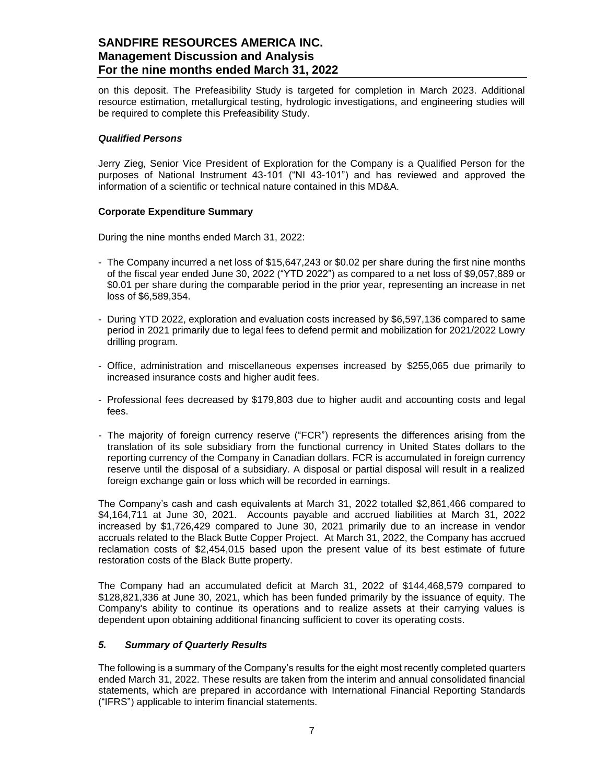on this deposit. The Prefeasibility Study is targeted for completion in March 2023. Additional resource estimation, metallurgical testing, hydrologic investigations, and engineering studies will be required to complete this Prefeasibility Study.

### *Qualified Persons*

Jerry Zieg, Senior Vice President of Exploration for the Company is a Qualified Person for the purposes of National Instrument 43-101 ("NI 43-101") and has reviewed and approved the information of a scientific or technical nature contained in this MD&A.

# **Corporate Expenditure Summary**

During the nine months ended March 31, 2022:

- The Company incurred a net loss of \$15,647,243 or \$0.02 per share during the first nine months of the fiscal year ended June 30, 2022 ("YTD 2022") as compared to a net loss of \$9,057,889 or \$0.01 per share during the comparable period in the prior year, representing an increase in net loss of \$6,589,354.
- During YTD 2022, exploration and evaluation costs increased by \$6,597,136 compared to same period in 2021 primarily due to legal fees to defend permit and mobilization for 2021/2022 Lowry drilling program.
- Office, administration and miscellaneous expenses increased by \$255,065 due primarily to increased insurance costs and higher audit fees.
- Professional fees decreased by \$179,803 due to higher audit and accounting costs and legal fees.
- The majority of foreign currency reserve ("FCR") represents the differences arising from the translation of its sole subsidiary from the functional currency in United States dollars to the reporting currency of the Company in Canadian dollars. FCR is accumulated in foreign currency reserve until the disposal of a subsidiary. A disposal or partial disposal will result in a realized foreign exchange gain or loss which will be recorded in earnings.

The Company's cash and cash equivalents at March 31, 2022 totalled \$2,861,466 compared to \$4,164,711 at June 30, 2021. Accounts payable and accrued liabilities at March 31, 2022 increased by \$1,726,429 compared to June 30, 2021 primarily due to an increase in vendor accruals related to the Black Butte Copper Project. At March 31, 2022, the Company has accrued reclamation costs of \$2,454,015 based upon the present value of its best estimate of future restoration costs of the Black Butte property.

The Company had an accumulated deficit at March 31, 2022 of \$144,468,579 compared to \$128,821,336 at June 30, 2021, which has been funded primarily by the issuance of equity. The Company's ability to continue its operations and to realize assets at their carrying values is dependent upon obtaining additional financing sufficient to cover its operating costs.

### <span id="page-6-0"></span>*5. Summary of Quarterly Results*

The following is a summary of the Company's results for the eight most recently completed quarters ended March 31, 2022. These results are taken from the interim and annual consolidated financial statements, which are prepared in accordance with International Financial Reporting Standards ("IFRS") applicable to interim financial statements.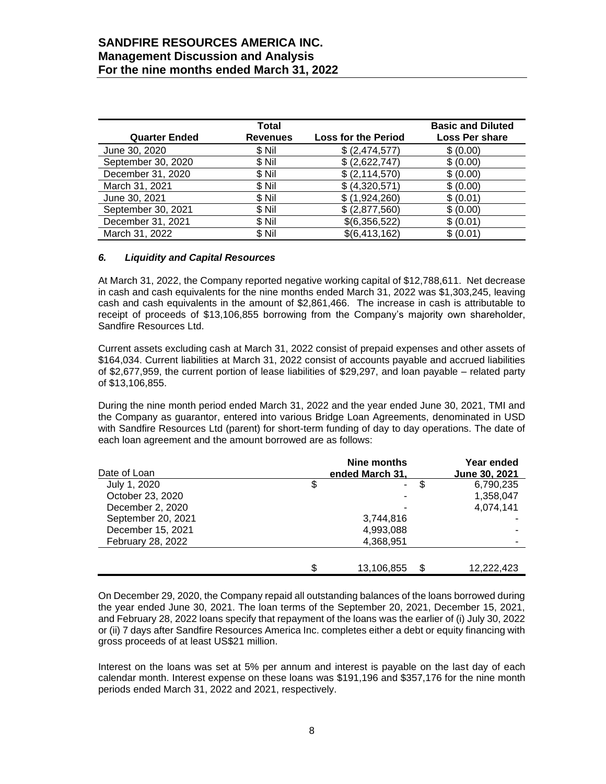| <b>Quarter Ended</b> | Total<br><b>Revenues</b> | <b>Loss for the Period</b> | <b>Basic and Diluted</b><br><b>Loss Per share</b> |
|----------------------|--------------------------|----------------------------|---------------------------------------------------|
| June 30, 2020        | \$ Nil                   | \$ (2,474,577)             | \$ (0.00)                                         |
| September 30, 2020   | \$ Nil                   | \$ (2,622,747)             | \$ (0.00)                                         |
| December 31, 2020    | \$Nil                    | \$ (2, 114, 570)           | \$ (0.00)                                         |
| March 31, 2021       | \$Nil                    | \$ (4,320,571)             | \$ (0.00)                                         |
| June 30, 2021        | \$Nil                    | \$(1,924,260)              | \$(0.01)                                          |
| September 30, 2021   | \$Nil                    | \$ (2,877,560)             | \$ (0.00)                                         |
| December 31, 2021    | \$ Nil                   | \$(6,356,522)              | \$ (0.01)                                         |
| March 31, 2022       | \$Nil                    | \$(6,413,162)              | \$ (0.01)                                         |

### <span id="page-7-0"></span>*6. Liquidity and Capital Resources*

At March 31, 2022, the Company reported negative working capital of \$12,788,611. Net decrease in cash and cash equivalents for the nine months ended March 31, 2022 was \$1,303,245, leaving cash and cash equivalents in the amount of \$2,861,466. The increase in cash is attributable to receipt of proceeds of \$13,106,855 borrowing from the Company's majority own shareholder, Sandfire Resources Ltd.

Current assets excluding cash at March 31, 2022 consist of prepaid expenses and other assets of \$164,034. Current liabilities at March 31, 2022 consist of accounts payable and accrued liabilities of \$2,677,959, the current portion of lease liabilities of \$29,297, and loan payable – related party of \$13,106,855.

During the nine month period ended March 31, 2022 and the year ended June 30, 2021, TMI and the Company as guarantor, entered into various Bridge Loan Agreements, denominated in USD with Sandfire Resources Ltd (parent) for short-term funding of day to day operations. The date of each loan agreement and the amount borrowed are as follows:

|                    | Nine months<br>ended March 31. |            |    | Year ended    |
|--------------------|--------------------------------|------------|----|---------------|
| Date of Loan       |                                |            |    | June 30, 2021 |
| July 1, 2020       | \$                             | ۰.         | \$ | 6,790,235     |
| October 23, 2020   |                                |            |    | 1,358,047     |
| December 2, 2020   |                                |            |    | 4,074,141     |
| September 20, 2021 |                                | 3,744,816  |    |               |
| December 15, 2021  |                                | 4,993,088  |    |               |
| February 28, 2022  |                                | 4,368,951  |    |               |
|                    |                                |            |    |               |
|                    | \$                             | 13,106,855 | -S | 12,222,423    |

On December 29, 2020, the Company repaid all outstanding balances of the loans borrowed during the year ended June 30, 2021. The loan terms of the September 20, 2021, December 15, 2021, and February 28, 2022 loans specify that repayment of the loans was the earlier of (i) July 30, 2022 or (ii) 7 days after Sandfire Resources America Inc. completes either a debt or equity financing with gross proceeds of at least US\$21 million.

Interest on the loans was set at 5% per annum and interest is payable on the last day of each calendar month. Interest expense on these loans was \$191,196 and \$357,176 for the nine month periods ended March 31, 2022 and 2021, respectively.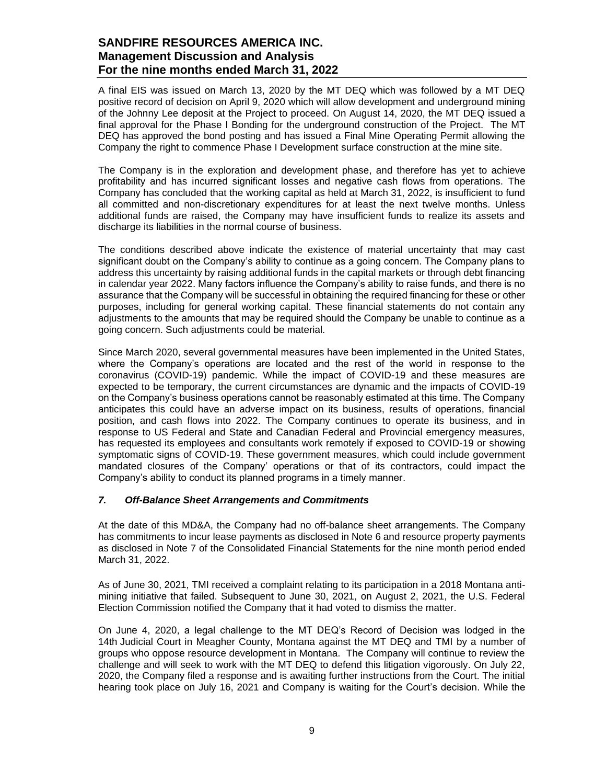A final EIS was issued on March 13, 2020 by the MT DEQ which was followed by a MT DEQ positive record of decision on April 9, 2020 which will allow development and underground mining of the Johnny Lee deposit at the Project to proceed. On August 14, 2020, the MT DEQ issued a final approval for the Phase I Bonding for the underground construction of the Project. The MT DEQ has approved the bond posting and has issued a Final Mine Operating Permit allowing the Company the right to commence Phase I Development surface construction at the mine site.

The Company is in the exploration and development phase, and therefore has yet to achieve profitability and has incurred significant losses and negative cash flows from operations. The Company has concluded that the working capital as held at March 31, 2022, is insufficient to fund all committed and non-discretionary expenditures for at least the next twelve months. Unless additional funds are raised, the Company may have insufficient funds to realize its assets and discharge its liabilities in the normal course of business.

The conditions described above indicate the existence of material uncertainty that may cast significant doubt on the Company's ability to continue as a going concern. The Company plans to address this uncertainty by raising additional funds in the capital markets or through debt financing in calendar year 2022. Many factors influence the Company's ability to raise funds, and there is no assurance that the Company will be successful in obtaining the required financing for these or other purposes, including for general working capital. These financial statements do not contain any adjustments to the amounts that may be required should the Company be unable to continue as a going concern. Such adjustments could be material.

Since March 2020, several governmental measures have been implemented in the United States, where the Company's operations are located and the rest of the world in response to the coronavirus (COVID-19) pandemic. While the impact of COVID-19 and these measures are expected to be temporary, the current circumstances are dynamic and the impacts of COVID-19 on the Company's business operations cannot be reasonably estimated at this time. The Company anticipates this could have an adverse impact on its business, results of operations, financial position, and cash flows into 2022. The Company continues to operate its business, and in response to US Federal and State and Canadian Federal and Provincial emergency measures, has requested its employees and consultants work remotely if exposed to COVID-19 or showing symptomatic signs of COVID-19. These government measures, which could include government mandated closures of the Company' operations or that of its contractors, could impact the Company's ability to conduct its planned programs in a timely manner.

### <span id="page-8-0"></span>*7. Off-Balance Sheet Arrangements and Commitments*

At the date of this MD&A, the Company had no off-balance sheet arrangements. The Company has commitments to incur lease payments as disclosed in Note 6 and resource property payments as disclosed in Note 7 of the Consolidated Financial Statements for the nine month period ended March 31, 2022.

As of June 30, 2021, TMI received a complaint relating to its participation in a 2018 Montana antimining initiative that failed. Subsequent to June 30, 2021, on August 2, 2021, the U.S. Federal Election Commission notified the Company that it had voted to dismiss the matter.

On June 4, 2020, a legal challenge to the MT DEQ's Record of Decision was lodged in the 14th Judicial Court in Meagher County, Montana against the MT DEQ and TMI by a number of groups who oppose resource development in Montana. The Company will continue to review the challenge and will seek to work with the MT DEQ to defend this litigation vigorously. On July 22, 2020, the Company filed a response and is awaiting further instructions from the Court. The initial hearing took place on July 16, 2021 and Company is waiting for the Court's decision. While the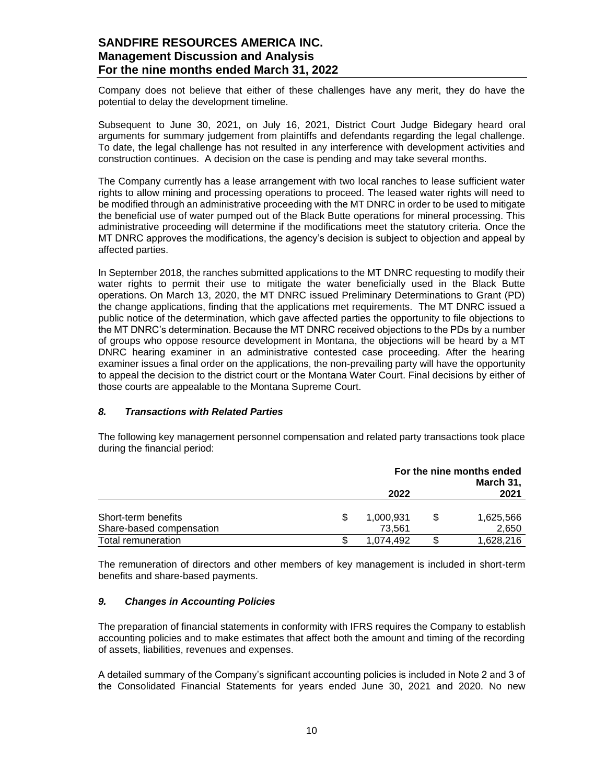Company does not believe that either of these challenges have any merit, they do have the potential to delay the development timeline.

Subsequent to June 30, 2021, on July 16, 2021, District Court Judge Bidegary heard oral arguments for summary judgement from plaintiffs and defendants regarding the legal challenge. To date, the legal challenge has not resulted in any interference with development activities and construction continues. A decision on the case is pending and may take several months.

The Company currently has a lease arrangement with two local ranches to lease sufficient water rights to allow mining and processing operations to proceed. The leased water rights will need to be modified through an administrative proceeding with the MT DNRC in order to be used to mitigate the beneficial use of water pumped out of the Black Butte operations for mineral processing. This administrative proceeding will determine if the modifications meet the statutory criteria. Once the MT DNRC approves the modifications, the agency's decision is subject to objection and appeal by affected parties.

In September 2018, the ranches submitted applications to the MT DNRC requesting to modify their water rights to permit their use to mitigate the water beneficially used in the Black Butte operations. On March 13, 2020, the MT DNRC issued Preliminary Determinations to Grant (PD) the change applications, finding that the applications met requirements. The MT DNRC issued a public notice of the determination, which gave affected parties the opportunity to file objections to the MT DNRC's determination. Because the MT DNRC received objections to the PDs by a number of groups who oppose resource development in Montana, the objections will be heard by a MT DNRC hearing examiner in an administrative contested case proceeding. After the hearing examiner issues a final order on the applications, the non-prevailing party will have the opportunity to appeal the decision to the district court or the Montana Water Court. Final decisions by either of those courts are appealable to the Montana Supreme Court.

### <span id="page-9-0"></span>*8. Transactions with Related Parties*

The following key management personnel compensation and related party transactions took place during the financial period:

|                          | For the nine months ended<br>March 31, |  |           |
|--------------------------|----------------------------------------|--|-----------|
|                          | 2022                                   |  | 2021      |
| Short-term benefits      | 1,000,931                              |  | 1,625,566 |
| Share-based compensation | 73.561                                 |  | 2,650     |
| Total remuneration       | 1.074.492                              |  | 1,628,216 |

The remuneration of directors and other members of key management is included in short-term benefits and share-based payments.

# <span id="page-9-1"></span>*9. Changes in Accounting Policies*

The preparation of financial statements in conformity with IFRS requires the Company to establish accounting policies and to make estimates that affect both the amount and timing of the recording of assets, liabilities, revenues and expenses.

A detailed summary of the Company's significant accounting policies is included in Note 2 and 3 of the Consolidated Financial Statements for years ended June 30, 2021 and 2020. No new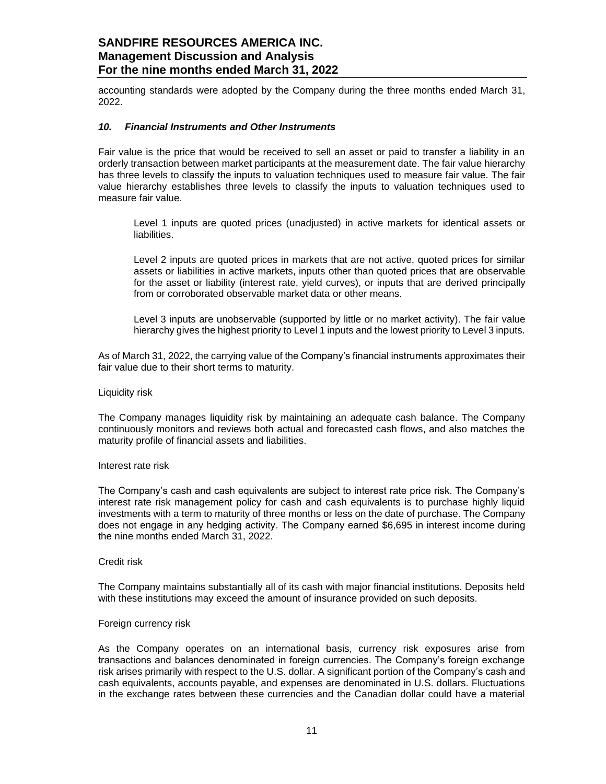accounting standards were adopted by the Company during the three months ended March 31, 2022.

#### <span id="page-10-0"></span>*10. Financial Instruments and Other Instruments*

Fair value is the price that would be received to sell an asset or paid to transfer a liability in an orderly transaction between market participants at the measurement date. The fair value hierarchy has three levels to classify the inputs to valuation techniques used to measure fair value. The fair value hierarchy establishes three levels to classify the inputs to valuation techniques used to measure fair value.

Level 1 inputs are quoted prices (unadjusted) in active markets for identical assets or liabilities.

Level 2 inputs are quoted prices in markets that are not active, quoted prices for similar assets or liabilities in active markets, inputs other than quoted prices that are observable for the asset or liability (interest rate, yield curves), or inputs that are derived principally from or corroborated observable market data or other means.

Level 3 inputs are unobservable (supported by little or no market activity). The fair value hierarchy gives the highest priority to Level 1 inputs and the lowest priority to Level 3 inputs.

As of March 31, 2022, the carrying value of the Company's financial instruments approximates their fair value due to their short terms to maturity.

#### Liquidity risk

The Company manages liquidity risk by maintaining an adequate cash balance. The Company continuously monitors and reviews both actual and forecasted cash flows, and also matches the maturity profile of financial assets and liabilities.

#### Interest rate risk

The Company's cash and cash equivalents are subject to interest rate price risk. The Company's interest rate risk management policy for cash and cash equivalents is to purchase highly liquid investments with a term to maturity of three months or less on the date of purchase. The Company does not engage in any hedging activity. The Company earned \$6,695 in interest income during the nine months ended March 31, 2022.

#### Credit risk

The Company maintains substantially all of its cash with major financial institutions. Deposits held with these institutions may exceed the amount of insurance provided on such deposits.

#### Foreign currency risk

As the Company operates on an international basis, currency risk exposures arise from transactions and balances denominated in foreign currencies. The Company's foreign exchange risk arises primarily with respect to the U.S. dollar. A significant portion of the Company's cash and cash equivalents, accounts payable, and expenses are denominated in U.S. dollars. Fluctuations in the exchange rates between these currencies and the Canadian dollar could have a material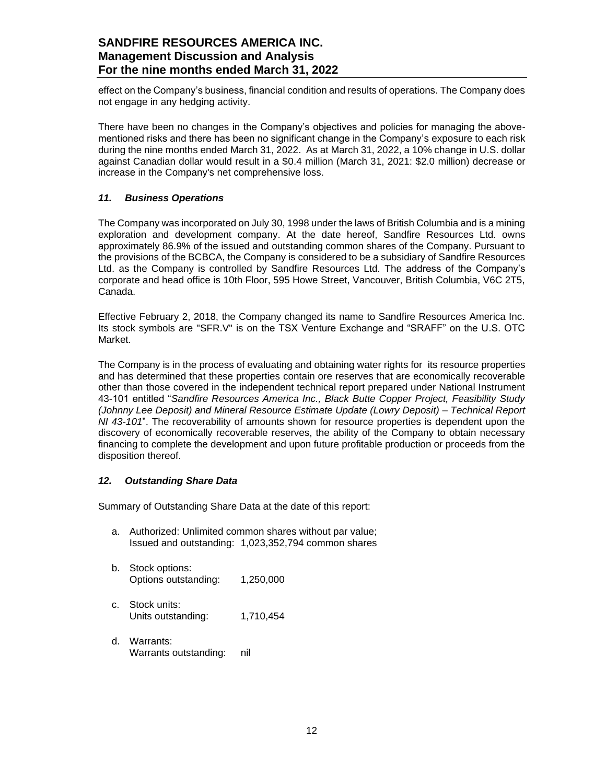effect on the Company's business, financial condition and results of operations. The Company does not engage in any hedging activity.

There have been no changes in the Company's objectives and policies for managing the abovementioned risks and there has been no significant change in the Company's exposure to each risk during the nine months ended March 31, 2022. As at March 31, 2022, a 10% change in U.S. dollar against Canadian dollar would result in a \$0.4 million (March 31, 2021: \$2.0 million) decrease or increase in the Company's net comprehensive loss.

### <span id="page-11-0"></span>*11. Business Operations*

The Company was incorporated on July 30, 1998 under the laws of British Columbia and is a mining exploration and development company. At the date hereof, Sandfire Resources Ltd. owns approximately 86.9% of the issued and outstanding common shares of the Company. Pursuant to the provisions of the BCBCA, the Company is considered to be a subsidiary of Sandfire Resources Ltd. as the Company is controlled by Sandfire Resources Ltd. The address of the Company's corporate and head office is 10th Floor, 595 Howe Street, Vancouver, British Columbia, V6C 2T5, Canada.

Effective February 2, 2018, the Company changed its name to Sandfire Resources America Inc. Its stock symbols are "SFR.V" is on the TSX Venture Exchange and "SRAFF" on the U.S. OTC Market.

The Company is in the process of evaluating and obtaining water rights for its resource properties and has determined that these properties contain ore reserves that are economically recoverable other than those covered in the independent technical report prepared under National Instrument 43-101 entitled "*Sandfire Resources America Inc., Black Butte Copper Project, Feasibility Study (Johnny Lee Deposit) and Mineral Resource Estimate Update (Lowry Deposit) – Technical Report NI 43-101*". The recoverability of amounts shown for resource properties is dependent upon the discovery of economically recoverable reserves, the ability of the Company to obtain necessary financing to complete the development and upon future profitable production or proceeds from the disposition thereof.

### <span id="page-11-1"></span>*12. Outstanding Share Data*

Summary of Outstanding Share Data at the date of this report:

- a. Authorized: Unlimited common shares without par value; Issued and outstanding: 1,023,352,794 common shares
- b. Stock options: Options outstanding: 1,250,000
- c. Stock units: Units outstanding: 1,710,454
- d. Warrants: Warrants outstanding: nil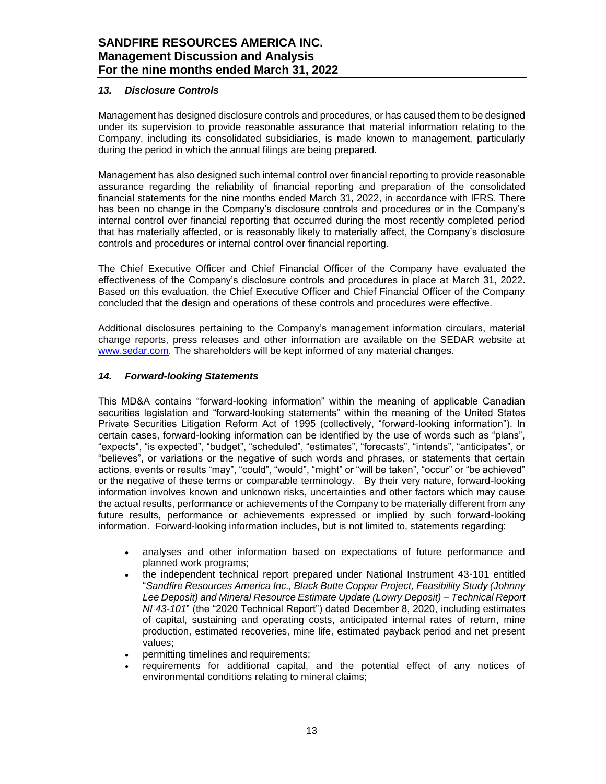## <span id="page-12-0"></span>*13. Disclosure Controls*

Management has designed disclosure controls and procedures, or has caused them to be designed under its supervision to provide reasonable assurance that material information relating to the Company, including its consolidated subsidiaries, is made known to management, particularly during the period in which the annual filings are being prepared.

Management has also designed such internal control over financial reporting to provide reasonable assurance regarding the reliability of financial reporting and preparation of the consolidated financial statements for the nine months ended March 31, 2022, in accordance with IFRS. There has been no change in the Company's disclosure controls and procedures or in the Company's internal control over financial reporting that occurred during the most recently completed period that has materially affected, or is reasonably likely to materially affect, the Company's disclosure controls and procedures or internal control over financial reporting.

The Chief Executive Officer and Chief Financial Officer of the Company have evaluated the effectiveness of the Company's disclosure controls and procedures in place at March 31, 2022. Based on this evaluation, the Chief Executive Officer and Chief Financial Officer of the Company concluded that the design and operations of these controls and procedures were effective.

Additional disclosures pertaining to the Company's management information circulars, material change reports, press releases and other information are available on the SEDAR website at [www.sedar.com.](http://www.sedar.com/) The shareholders will be kept informed of any material changes.

# <span id="page-12-1"></span>*14. Forward-looking Statements*

This MD&A contains "forward-looking information" within the meaning of applicable Canadian securities legislation and "forward-looking statements" within the meaning of the United States Private Securities Litigation Reform Act of 1995 (collectively, "forward-looking information"). In certain cases, forward-looking information can be identified by the use of words such as "plans", "expects", "is expected", "budget", "scheduled", "estimates", "forecasts", "intends", "anticipates", or "believes", or variations or the negative of such words and phrases, or statements that certain actions, events or results "may", "could", "would", "might" or "will be taken", "occur" or "be achieved" or the negative of these terms or comparable terminology. By their very nature, forward-looking information involves known and unknown risks, uncertainties and other factors which may cause the actual results, performance or achievements of the Company to be materially different from any future results, performance or achievements expressed or implied by such forward-looking information. Forward-looking information includes, but is not limited to, statements regarding:

- analyses and other information based on expectations of future performance and planned work programs;
- the independent technical report prepared under National Instrument 43-101 entitled "*Sandfire Resources America Inc., Black Butte Copper Project, Feasibility Study (Johnny Lee Deposit) and Mineral Resource Estimate Update (Lowry Deposit) – Technical Report NI 43-101*" (the "2020 Technical Report") dated December 8, 2020, including estimates of capital, sustaining and operating costs, anticipated internal rates of return, mine production, estimated recoveries, mine life, estimated payback period and net present values;
- permitting timelines and requirements;
- requirements for additional capital, and the potential effect of any notices of environmental conditions relating to mineral claims;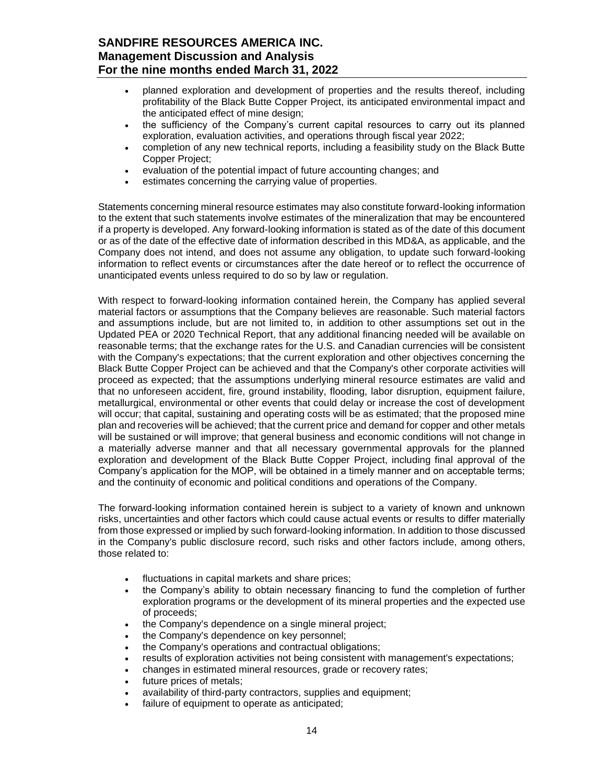- planned exploration and development of properties and the results thereof, including profitability of the Black Butte Copper Project, its anticipated environmental impact and the anticipated effect of mine design;
- the sufficiency of the Company's current capital resources to carry out its planned exploration, evaluation activities, and operations through fiscal year 2022;
- completion of any new technical reports, including a feasibility study on the Black Butte Copper Project;
- evaluation of the potential impact of future accounting changes; and
- estimates concerning the carrying value of properties.

Statements concerning mineral resource estimates may also constitute forward-looking information to the extent that such statements involve estimates of the mineralization that may be encountered if a property is developed. Any forward-looking information is stated as of the date of this document or as of the date of the effective date of information described in this MD&A, as applicable, and the Company does not intend, and does not assume any obligation, to update such forward-looking information to reflect events or circumstances after the date hereof or to reflect the occurrence of unanticipated events unless required to do so by law or regulation.

With respect to forward-looking information contained herein, the Company has applied several material factors or assumptions that the Company believes are reasonable. Such material factors and assumptions include, but are not limited to, in addition to other assumptions set out in the Updated PEA or 2020 Technical Report, that any additional financing needed will be available on reasonable terms; that the exchange rates for the U.S. and Canadian currencies will be consistent with the Company's expectations; that the current exploration and other objectives concerning the Black Butte Copper Project can be achieved and that the Company's other corporate activities will proceed as expected; that the assumptions underlying mineral resource estimates are valid and that no unforeseen accident, fire, ground instability, flooding, labor disruption, equipment failure, metallurgical, environmental or other events that could delay or increase the cost of development will occur; that capital, sustaining and operating costs will be as estimated; that the proposed mine plan and recoveries will be achieved; that the current price and demand for copper and other metals will be sustained or will improve; that general business and economic conditions will not change in a materially adverse manner and that all necessary governmental approvals for the planned exploration and development of the Black Butte Copper Project, including final approval of the Company's application for the MOP, will be obtained in a timely manner and on acceptable terms; and the continuity of economic and political conditions and operations of the Company.

The forward-looking information contained herein is subject to a variety of known and unknown risks, uncertainties and other factors which could cause actual events or results to differ materially from those expressed or implied by such forward-looking information. In addition to those discussed in the Company's public disclosure record, such risks and other factors include, among others, those related to:

- fluctuations in capital markets and share prices;
- the Company's ability to obtain necessary financing to fund the completion of further exploration programs or the development of its mineral properties and the expected use of proceeds;
- the Company's dependence on a single mineral project;
- the Company's dependence on key personnel;
- the Company's operations and contractual obligations;
- results of exploration activities not being consistent with management's expectations;
- changes in estimated mineral resources, grade or recovery rates;
- future prices of metals;
- availability of third-party contractors, supplies and equipment;
- failure of equipment to operate as anticipated;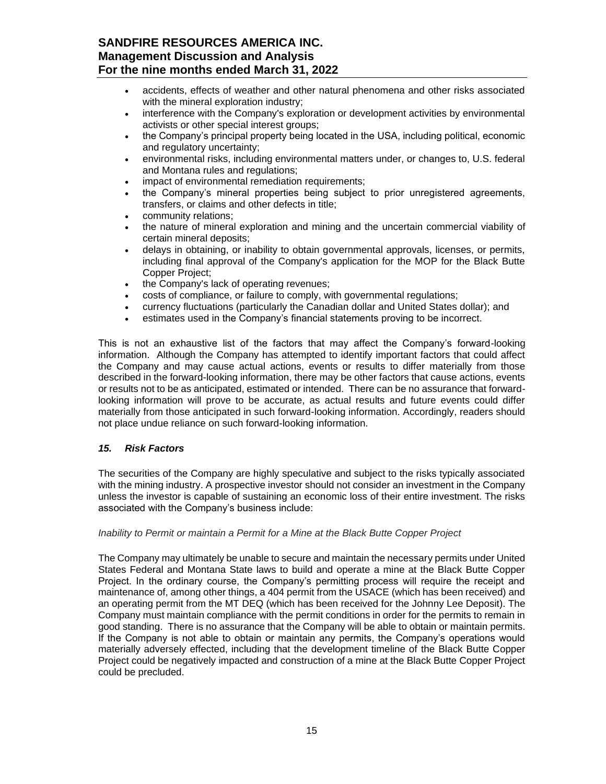- accidents, effects of weather and other natural phenomena and other risks associated with the mineral exploration industry:
- interference with the Company's exploration or development activities by environmental activists or other special interest groups;
- the Company's principal property being located in the USA, including political, economic and regulatory uncertainty;
- environmental risks, including environmental matters under, or changes to, U.S. federal and Montana rules and regulations;
- impact of environmental remediation requirements;
- the Company's mineral properties being subject to prior unregistered agreements, transfers, or claims and other defects in title;
- community relations;
- the nature of mineral exploration and mining and the uncertain commercial viability of certain mineral deposits;
- delays in obtaining, or inability to obtain governmental approvals, licenses, or permits, including final approval of the Company's application for the MOP for the Black Butte Copper Project;
- the Company's lack of operating revenues;
- costs of compliance, or failure to comply, with governmental regulations;
- currency fluctuations (particularly the Canadian dollar and United States dollar); and
- estimates used in the Company's financial statements proving to be incorrect.

This is not an exhaustive list of the factors that may affect the Company's forward-looking information. Although the Company has attempted to identify important factors that could affect the Company and may cause actual actions, events or results to differ materially from those described in the forward-looking information, there may be other factors that cause actions, events or results not to be as anticipated, estimated or intended. There can be no assurance that forwardlooking information will prove to be accurate, as actual results and future events could differ materially from those anticipated in such forward-looking information. Accordingly, readers should not place undue reliance on such forward-looking information.

### <span id="page-14-0"></span>*15. Risk Factors*

The securities of the Company are highly speculative and subject to the risks typically associated with the mining industry. A prospective investor should not consider an investment in the Company unless the investor is capable of sustaining an economic loss of their entire investment. The risks associated with the Company's business include:

### *Inability to Permit or maintain a Permit for a Mine at the Black Butte Copper Project*

The Company may ultimately be unable to secure and maintain the necessary permits under United States Federal and Montana State laws to build and operate a mine at the Black Butte Copper Project. In the ordinary course, the Company's permitting process will require the receipt and maintenance of, among other things, a 404 permit from the USACE (which has been received) and an operating permit from the MT DEQ (which has been received for the Johnny Lee Deposit). The Company must maintain compliance with the permit conditions in order for the permits to remain in good standing. There is no assurance that the Company will be able to obtain or maintain permits. If the Company is not able to obtain or maintain any permits, the Company's operations would materially adversely effected, including that the development timeline of the Black Butte Copper Project could be negatively impacted and construction of a mine at the Black Butte Copper Project could be precluded.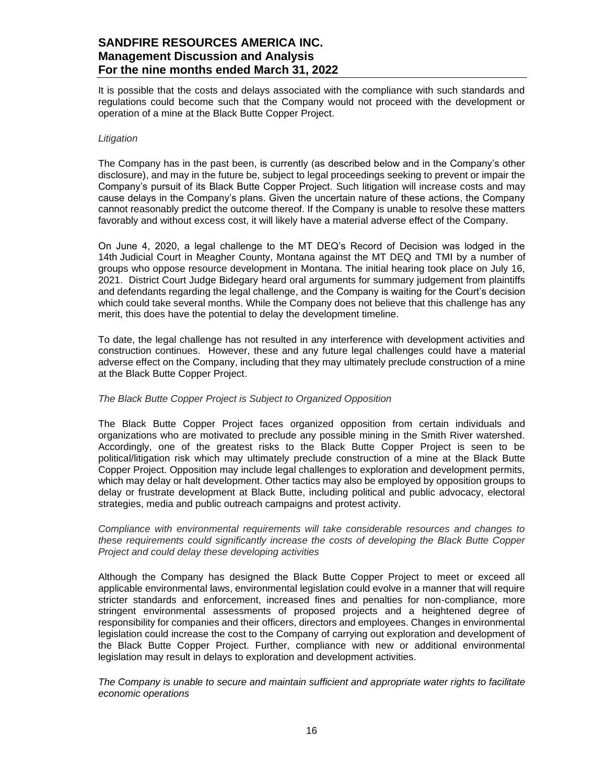It is possible that the costs and delays associated with the compliance with such standards and regulations could become such that the Company would not proceed with the development or operation of a mine at the Black Butte Copper Project.

#### *Litigation*

The Company has in the past been, is currently (as described below and in the Company's other disclosure), and may in the future be, subject to legal proceedings seeking to prevent or impair the Company's pursuit of its Black Butte Copper Project. Such litigation will increase costs and may cause delays in the Company's plans. Given the uncertain nature of these actions, the Company cannot reasonably predict the outcome thereof. If the Company is unable to resolve these matters favorably and without excess cost, it will likely have a material adverse effect of the Company.

On June 4, 2020, a legal challenge to the MT DEQ's Record of Decision was lodged in the 14th Judicial Court in Meagher County, Montana against the MT DEQ and TMI by a number of groups who oppose resource development in Montana. The initial hearing took place on July 16, 2021. District Court Judge Bidegary heard oral arguments for summary judgement from plaintiffs and defendants regarding the legal challenge, and the Company is waiting for the Court's decision which could take several months. While the Company does not believe that this challenge has any merit, this does have the potential to delay the development timeline.

To date, the legal challenge has not resulted in any interference with development activities and construction continues. However, these and any future legal challenges could have a material adverse effect on the Company, including that they may ultimately preclude construction of a mine at the Black Butte Copper Project.

### *The Black Butte Copper Project is Subject to Organized Opposition*

The Black Butte Copper Project faces organized opposition from certain individuals and organizations who are motivated to preclude any possible mining in the Smith River watershed. Accordingly, one of the greatest risks to the Black Butte Copper Project is seen to be political/litigation risk which may ultimately preclude construction of a mine at the Black Butte Copper Project. Opposition may include legal challenges to exploration and development permits, which may delay or halt development. Other tactics may also be employed by opposition groups to delay or frustrate development at Black Butte, including political and public advocacy, electoral strategies, media and public outreach campaigns and protest activity.

*Compliance with environmental requirements will take considerable resources and changes to these requirements could significantly increase the costs of developing the Black Butte Copper Project and could delay these developing activities* 

Although the Company has designed the Black Butte Copper Project to meet or exceed all applicable environmental laws, environmental legislation could evolve in a manner that will require stricter standards and enforcement, increased fines and penalties for non-compliance, more stringent environmental assessments of proposed projects and a heightened degree of responsibility for companies and their officers, directors and employees. Changes in environmental legislation could increase the cost to the Company of carrying out exploration and development of the Black Butte Copper Project. Further, compliance with new or additional environmental legislation may result in delays to exploration and development activities.

*The Company is unable to secure and maintain sufficient and appropriate water rights to facilitate economic operations*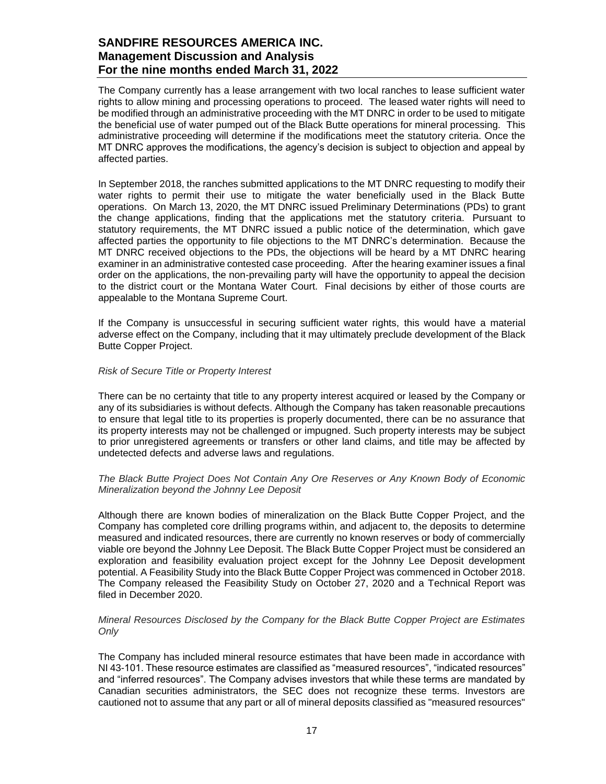The Company currently has a lease arrangement with two local ranches to lease sufficient water rights to allow mining and processing operations to proceed. The leased water rights will need to be modified through an administrative proceeding with the MT DNRC in order to be used to mitigate the beneficial use of water pumped out of the Black Butte operations for mineral processing. This administrative proceeding will determine if the modifications meet the statutory criteria. Once the MT DNRC approves the modifications, the agency's decision is subject to objection and appeal by affected parties.

In September 2018, the ranches submitted applications to the MT DNRC requesting to modify their water rights to permit their use to mitigate the water beneficially used in the Black Butte operations. On March 13, 2020, the MT DNRC issued Preliminary Determinations (PDs) to grant the change applications, finding that the applications met the statutory criteria. Pursuant to statutory requirements, the MT DNRC issued a public notice of the determination, which gave affected parties the opportunity to file objections to the MT DNRC's determination. Because the MT DNRC received objections to the PDs, the objections will be heard by a MT DNRC hearing examiner in an administrative contested case proceeding. After the hearing examiner issues a final order on the applications, the non-prevailing party will have the opportunity to appeal the decision to the district court or the Montana Water Court. Final decisions by either of those courts are appealable to the Montana Supreme Court.

If the Company is unsuccessful in securing sufficient water rights, this would have a material adverse effect on the Company, including that it may ultimately preclude development of the Black Butte Copper Project.

#### *Risk of Secure Title or Property Interest*

There can be no certainty that title to any property interest acquired or leased by the Company or any of its subsidiaries is without defects. Although the Company has taken reasonable precautions to ensure that legal title to its properties is properly documented, there can be no assurance that its property interests may not be challenged or impugned. Such property interests may be subject to prior unregistered agreements or transfers or other land claims, and title may be affected by undetected defects and adverse laws and regulations.

#### *The Black Butte Project Does Not Contain Any Ore Reserves or Any Known Body of Economic Mineralization beyond the Johnny Lee Deposit*

Although there are known bodies of mineralization on the Black Butte Copper Project, and the Company has completed core drilling programs within, and adjacent to, the deposits to determine measured and indicated resources, there are currently no known reserves or body of commercially viable ore beyond the Johnny Lee Deposit. The Black Butte Copper Project must be considered an exploration and feasibility evaluation project except for the Johnny Lee Deposit development potential. A Feasibility Study into the Black Butte Copper Project was commenced in October 2018. The Company released the Feasibility Study on October 27, 2020 and a Technical Report was filed in December 2020.

#### *Mineral Resources Disclosed by the Company for the Black Butte Copper Project are Estimates Only*

The Company has included mineral resource estimates that have been made in accordance with NI 43-101. These resource estimates are classified as "measured resources", "indicated resources" and "inferred resources". The Company advises investors that while these terms are mandated by Canadian securities administrators, the SEC does not recognize these terms. Investors are cautioned not to assume that any part or all of mineral deposits classified as "measured resources"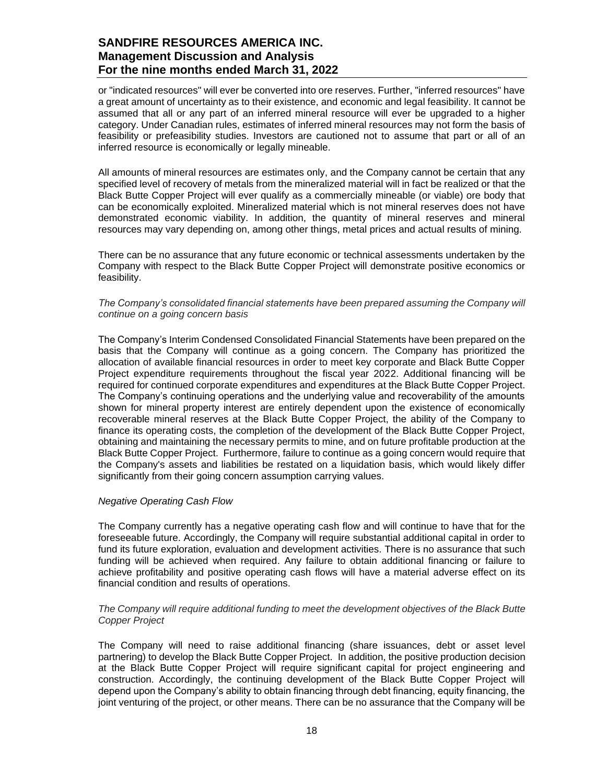or "indicated resources" will ever be converted into ore reserves. Further, "inferred resources" have a great amount of uncertainty as to their existence, and economic and legal feasibility. It cannot be assumed that all or any part of an inferred mineral resource will ever be upgraded to a higher category. Under Canadian rules, estimates of inferred mineral resources may not form the basis of feasibility or prefeasibility studies. Investors are cautioned not to assume that part or all of an inferred resource is economically or legally mineable.

All amounts of mineral resources are estimates only, and the Company cannot be certain that any specified level of recovery of metals from the mineralized material will in fact be realized or that the Black Butte Copper Project will ever qualify as a commercially mineable (or viable) ore body that can be economically exploited. Mineralized material which is not mineral reserves does not have demonstrated economic viability. In addition, the quantity of mineral reserves and mineral resources may vary depending on, among other things, metal prices and actual results of mining.

There can be no assurance that any future economic or technical assessments undertaken by the Company with respect to the Black Butte Copper Project will demonstrate positive economics or feasibility.

#### *The Company's consolidated financial statements have been prepared assuming the Company will continue on a going concern basis*

The Company's Interim Condensed Consolidated Financial Statements have been prepared on the basis that the Company will continue as a going concern. The Company has prioritized the allocation of available financial resources in order to meet key corporate and Black Butte Copper Project expenditure requirements throughout the fiscal year 2022. Additional financing will be required for continued corporate expenditures and expenditures at the Black Butte Copper Project. The Company's continuing operations and the underlying value and recoverability of the amounts shown for mineral property interest are entirely dependent upon the existence of economically recoverable mineral reserves at the Black Butte Copper Project, the ability of the Company to finance its operating costs, the completion of the development of the Black Butte Copper Project, obtaining and maintaining the necessary permits to mine, and on future profitable production at the Black Butte Copper Project. Furthermore, failure to continue as a going concern would require that the Company's assets and liabilities be restated on a liquidation basis, which would likely differ significantly from their going concern assumption carrying values.

### *Negative Operating Cash Flow*

The Company currently has a negative operating cash flow and will continue to have that for the foreseeable future. Accordingly, the Company will require substantial additional capital in order to fund its future exploration, evaluation and development activities. There is no assurance that such funding will be achieved when required. Any failure to obtain additional financing or failure to achieve profitability and positive operating cash flows will have a material adverse effect on its financial condition and results of operations.

#### *The Company will require additional funding to meet the development objectives of the Black Butte Copper Project*

The Company will need to raise additional financing (share issuances, debt or asset level partnering) to develop the Black Butte Copper Project. In addition, the positive production decision at the Black Butte Copper Project will require significant capital for project engineering and construction. Accordingly, the continuing development of the Black Butte Copper Project will depend upon the Company's ability to obtain financing through debt financing, equity financing, the joint venturing of the project, or other means. There can be no assurance that the Company will be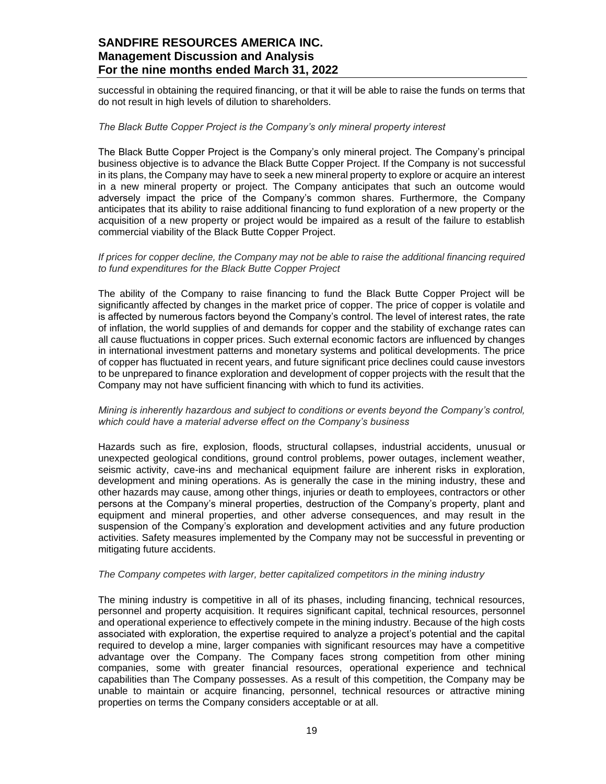successful in obtaining the required financing, or that it will be able to raise the funds on terms that do not result in high levels of dilution to shareholders.

#### *The Black Butte Copper Project is the Company's only mineral property interest*

The Black Butte Copper Project is the Company's only mineral project. The Company's principal business objective is to advance the Black Butte Copper Project. If the Company is not successful in its plans, the Company may have to seek a new mineral property to explore or acquire an interest in a new mineral property or project. The Company anticipates that such an outcome would adversely impact the price of the Company's common shares. Furthermore, the Company anticipates that its ability to raise additional financing to fund exploration of a new property or the acquisition of a new property or project would be impaired as a result of the failure to establish commercial viability of the Black Butte Copper Project.

#### *If prices for copper decline, the Company may not be able to raise the additional financing required to fund expenditures for the Black Butte Copper Project*

The ability of the Company to raise financing to fund the Black Butte Copper Project will be significantly affected by changes in the market price of copper. The price of copper is volatile and is affected by numerous factors beyond the Company's control. The level of interest rates, the rate of inflation, the world supplies of and demands for copper and the stability of exchange rates can all cause fluctuations in copper prices. Such external economic factors are influenced by changes in international investment patterns and monetary systems and political developments. The price of copper has fluctuated in recent years, and future significant price declines could cause investors to be unprepared to finance exploration and development of copper projects with the result that the Company may not have sufficient financing with which to fund its activities.

### *Mining is inherently hazardous and subject to conditions or events beyond the Company's control, which could have a material adverse effect on the Company's business*

Hazards such as fire, explosion, floods, structural collapses, industrial accidents, unusual or unexpected geological conditions, ground control problems, power outages, inclement weather, seismic activity, cave-ins and mechanical equipment failure are inherent risks in exploration, development and mining operations. As is generally the case in the mining industry, these and other hazards may cause, among other things, injuries or death to employees, contractors or other persons at the Company's mineral properties, destruction of the Company's property, plant and equipment and mineral properties, and other adverse consequences, and may result in the suspension of the Company's exploration and development activities and any future production activities. Safety measures implemented by the Company may not be successful in preventing or mitigating future accidents.

#### *The Company competes with larger, better capitalized competitors in the mining industry*

The mining industry is competitive in all of its phases, including financing, technical resources, personnel and property acquisition. It requires significant capital, technical resources, personnel and operational experience to effectively compete in the mining industry. Because of the high costs associated with exploration, the expertise required to analyze a project's potential and the capital required to develop a mine, larger companies with significant resources may have a competitive advantage over the Company. The Company faces strong competition from other mining companies, some with greater financial resources, operational experience and technical capabilities than The Company possesses. As a result of this competition, the Company may be unable to maintain or acquire financing, personnel, technical resources or attractive mining properties on terms the Company considers acceptable or at all.